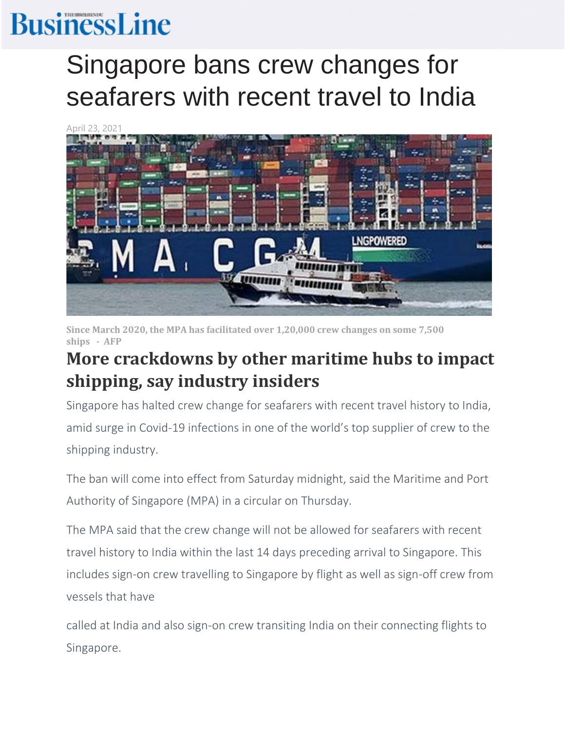## **BusinessLine**

## Singapore bans crew changes for seafarers with recent travel to India



**Since March 2020, the MPA has facilitated over 1,20,000 crew changes on some 7,500 ships - AFP**

## **More crackdowns by other maritime hubs to impact shipping, say industry insiders**

Singapore has halted crew change for seafarers with recent travel history to India, amid surge in Covid-19 infections in one of the world's top supplier of crew to the shipping industry.

The ban will come into effect from Saturday midnight, said the Maritime and Port Authority of Singapore (MPA) in a circular on Thursday.

The MPA said that the crew change will not be allowed for seafarers with recent travel history to India within the last 14 days preceding arrival to Singapore. This includes sign-on crew travelling to Singapore by flight as well as sign-off crew from vessels that have

called at India and also sign-on crew transiting India on their connecting flights to Singapore.